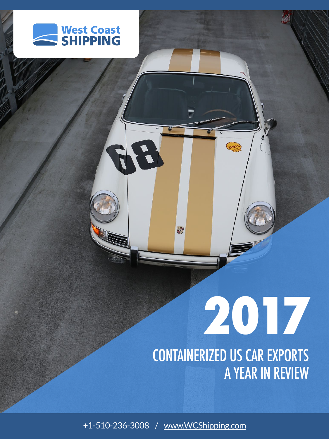

# **2017**

 $\overline{\mathbf{a}}$ 

SHEL

## CONTAINERIZED US CAR EXPORTS A YEAR IN REVIEW

+1-510-236-3008 / [www.WCShipping.com](http://www.wcshipping.com)

图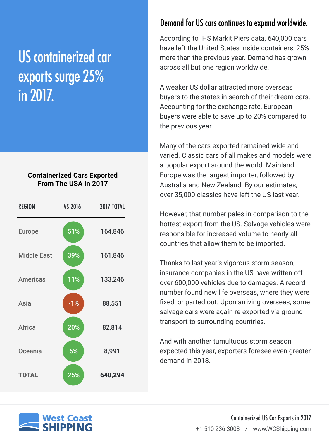# US containerized car exports surge 25% in 2017.

#### **Containerized Cars Exported From The USA in 2017**

| <b>REGION</b>      | <b>VS 2016</b> | <b>2017 TOTAL</b> |
|--------------------|----------------|-------------------|
| <b>Europe</b>      | 51%            | 164,846           |
| <b>Middle East</b> | 39%            | 161,846           |
| <b>Americas</b>    | 11%            | 133,246           |
| <b>Asia</b>        | $-1%$          | 88,551            |
| <b>Africa</b>      | 20%            | 82,814            |
| <b>Oceania</b>     | 5%             | 8,991             |
| <b>TOTAL</b>       | 25%            | 640,294           |

## Demand for US cars continues to expand worldwide.

According to IHS Markit Piers data, 640,000 cars have left the United States inside containers, 25% more than the previous year. Demand has grown across all but one region worldwide.

A weaker US dollar attracted more overseas buyers to the states in search of their dream cars. Accounting for the exchange rate, European buyers were able to save up to 20% compared to the previous year.

Many of the cars exported remained wide and varied. Classic cars of all makes and models were a popular export around the world. Mainland Europe was the largest importer, followed by Australia and New Zealand. By our estimates, over 35,000 classics have left the US last year.

However, that number pales in comparison to the hottest export from the US. Salvage vehicles were responsible for increased volume to nearly all countries that allow them to be imported.

Thanks to last year's vigorous storm season, insurance companies in the US have written off over 600,000 vehicles due to damages. A record number found new life overseas, where they were fixed, or parted out. Upon arriving overseas, some salvage cars were again re-exported via ground transport to surrounding countries.

And with another tumultuous storm season expected this year, exporters foresee even greater demand in 2018.

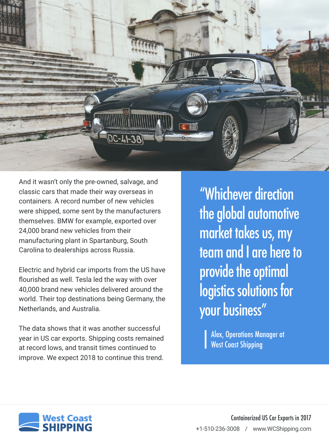

And it wasn't only the pre-owned, salvage, and classic cars that made their way overseas in containers. A record number of new vehicles were shipped, some sent by the manufacturers themselves. BMW for example, exported over 24,000 brand new vehicles from their manufacturing plant in Spartanburg, South Carolina to dealerships across Russia.

Electric and hybrid car imports from the US have flourished as well. Tesla led the way with over 40,000 brand new vehicles delivered around the world. Their top destinations being Germany, the Netherlands, and Australia.

The data shows that it was another successful year in US car exports. Shipping costs remained at record lows, and transit times continued to improve. We expect 2018 to continue this trend. "Whichever direction the global automotive market takes us, my team and I are here to provide the optimal logistics solutions for your business"

> Alex, Operations Manager at West Coast Shipping

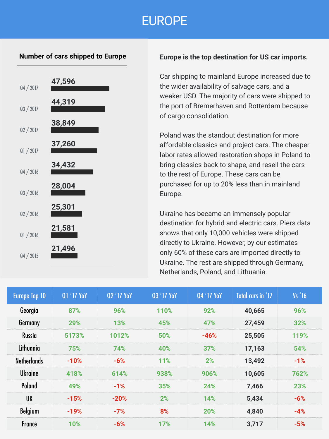## EUROPE

#### **Number of cars shipped to Europe**



#### **Europe is the top destination for US car imports.**

Car shipping to mainland Europe increased due to the wider availability of salvage cars, and a weaker USD. The majority of cars were shipped to the port of Bremerhaven and Rotterdam because of cargo consolidation.

Poland was the standout destination for more affordable classics and project cars. The cheaper labor rates allowed restoration shops in Poland to bring classics back to shape, and resell the cars to the rest of Europe. These cars can be purchased for up to 20% less than in mainland Europe.

Ukraine has became an immensely popular destination for hybrid and electric cars. Piers data shows that only 10,000 vehicles were shipped directly to Ukraine. However, by our estimates only 60% of these cars are imported directly to Ukraine. The rest are shipped through Germany, Netherlands, Poland, and Lithuania.

| <b>Europe Top 10</b> | <b>Q1 '17 YoY</b> | <b>Q2 '17 YoY</b> | <b>Q3 '17 YoY</b> | <b>Q4 '17 YoY</b> | Total cars in '17 | Vs '16 |
|----------------------|-------------------|-------------------|-------------------|-------------------|-------------------|--------|
| Georgia              | 87%               | 96%               | 110%              | 92%               | 40,665            | 96%    |
| Germany              | 29%               | 13%               | 45%               | 47%               | 27,459            | 32%    |
| <b>Russia</b>        | 5173%             | 1012%             | 50%               | $-46%$            | 25,505            | 119%   |
| Lithuania            | 75%               | 74%               | 40%               | 37%               | 17,163            | 54%    |
| <b>Netherlands</b>   | $-10%$            | $-6%$             | 11%               | 2%                | 13,492            | $-1%$  |
| Ukraine              | 418%              | 614%              | 938%              | 906%              | 10,605            | 762%   |
| <b>Poland</b>        | 49%               | $-1%$             | 35%               | 24%               | 7,466             | 23%    |
| <b>UK</b>            | $-15%$            | $-20%$            | 2%                | 14%               | 5,434             | $-6%$  |
| <b>Belgium</b>       | $-19%$            | $-7%$             | 8%                | 20%               | 4,840             | $-4%$  |
| <b>France</b>        | 10%               | $-6%$             | 17%               | 14%               | 3,717             | $-5%$  |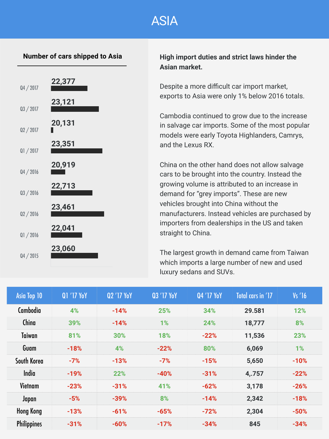## ASIA

#### **Number of cars shipped to Asia**



#### **High import duties and strict laws hinder the Asian market.**

Despite a more difficult car import market, exports to Asia were only 1% below 2016 totals.

Cambodia continued to grow due to the increase in salvage car imports. Some of the most popular models were early Toyota Highlanders, Camrys, and the Lexus RX.

China on the other hand does not allow salvage cars to be brought into the country. Instead the growing volume is attributed to an increase in demand for "grey imports". These are new vehicles brought into China without the manufacturers. Instead vehicles are purchased by importers from dealerships in the US and taken straight to China.

The largest growth in demand came from Taiwan which imports a large number of new and used luxury sedans and SUVs.

| <b>Asia Top 10</b> | <b>Q1 '17 YoY</b> | <b>Q2 '17 YoY</b> | <b>Q3 '17 YoY</b> | <b>Q4 '17 YoY</b> | Total cars in '17 | Vs '16 |
|--------------------|-------------------|-------------------|-------------------|-------------------|-------------------|--------|
| Cambodia           | 4%                | $-14%$            | 25%               | 34%               | 29.581            | 12%    |
| China              | 39%               | $-14%$            | 1%                | 24%               | 18,777            | 8%     |
| <b>Taiwan</b>      | 81%               | 30%               | 18%               | $-22%$            | 11,536            | 23%    |
| Guam               | $-18%$            | 4%                | $-22%$            | 80%               | 6,069             | 1%     |
| South Korea        | $-7%$             | $-13%$            | $-7%$             | $-15%$            | 5,650             | $-10%$ |
| India              | $-19%$            | 22%               | $-40%$            | $-31%$            | 4,.757            | $-22%$ |
| Vietnam            | $-23%$            | $-31%$            | 41%               | $-62%$            | 3,178             | $-26%$ |
| Japan              | $-5%$             | $-39%$            | 8%                | $-14%$            | 2,342             | $-18%$ |
| <b>Hong Kong</b>   | $-13%$            | $-61%$            | $-65%$            | $-72%$            | 2,304             | $-50%$ |
| <b>Philippines</b> | $-31%$            | $-60%$            | $-17%$            | $-34%$            | 845               | $-34%$ |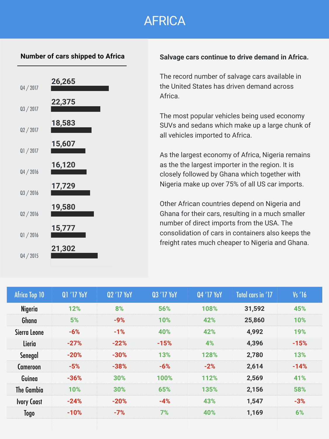## AFRICA

#### **Number of cars shipped to Africa**



#### **Salvage cars continue to drive demand in Africa.**

The record number of salvage cars available in the United States has driven demand across Africa.

The most popular vehicles being used economy SUVs and sedans which make up a large chunk of all vehicles imported to Africa.

As the largest economy of Africa, Nigeria remains as the the largest importer in the region. It is closely followed by Ghana which together with Nigeria make up over 75% of all US car imports.

Other African countries depend on Nigeria and Ghana for their cars, resulting in a much smaller number of direct imports from the USA. The consolidation of cars in containers also keeps the freight rates much cheaper to Nigeria and Ghana.

| <b>Africa Top 10</b> | <b>Q1 '17 YoY</b> | <b>Q2 '17 YoY</b> | <b>Q3 '17 YoY</b> | <b>Q4 '17 YoY</b> | Total cars in '17 | <b>Vs '16</b> |
|----------------------|-------------------|-------------------|-------------------|-------------------|-------------------|---------------|
| <b>Nigeria</b>       | 12%               | 8%                | 56%               | 108%              | 31,592            | 45%           |
| Ghana                | 5%                | $-9%$             | 10%               | 42%               | 25,860            | 10%           |
| Sierra Leone         | $-6%$             | $-1%$             | 40%               | 42%               | 4,992             | 19%           |
| Lieria               | $-27%$            | $-22%$            | $-15%$            | 4%                | 4,396             | $-15%$        |
| Senegal              | $-20%$            | $-30%$            | 13%               | 128%              | 2,780             | 13%           |
| <b>Cameroon</b>      | $-5%$             | $-38%$            | $-6%$             | $-2%$             | 2,614             | $-14%$        |
| Guinea               | $-36%$            | 30%               | 100%              | 112%              | 2,569             | 41%           |
| <b>The Gambia</b>    | 10%               | 30%               | 65%               | 135%              | 2,156             | 58%           |
| <b>Ivory Coast</b>   | $-24%$            | $-20%$            | $-4%$             | 43%               | 1,547             | $-3%$         |
| <b>Togo</b>          | $-10%$            | $-7%$             | 7%                | 40%               | 1,169             | 6%            |
|                      |                   |                   |                   |                   |                   |               |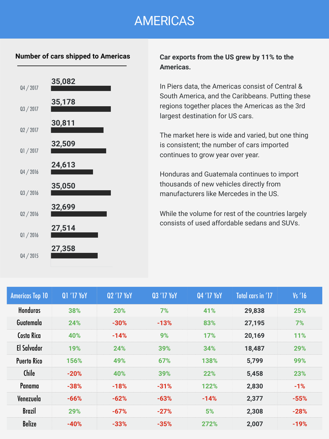## AMERICAS

#### **Number of cars shipped to Americas**



### **Car exports from the US grew by 11% to the Americas.**

In Piers data, the Americas consist of Central & South America, and the Caribbeans. Putting these regions together places the Americas as the 3rd largest destination for US cars.

The market here is wide and varied, but one thing is consistent; the number of cars imported continues to grow year over year.

Honduras and Guatemala continues to import thousands of new vehicles directly from manufacturers like Mercedes in the US.

While the volume for rest of the countries largely consists of used affordable sedans and SUVs.

| <b>Americas Top 10</b> | <b>Q1 '17 YoY</b> | <b>Q2 '17 YoY</b> | <b>Q3 '17 YoY</b> | <b>Q4 '17 YoY</b> | Total cars in '17 | Vs'16  |
|------------------------|-------------------|-------------------|-------------------|-------------------|-------------------|--------|
| <b>Honduras</b>        | 38%               | 20%               | 7%                | 41%               | 29,838            | 25%    |
| Guatemala              | 24%               | $-30%$            | $-13%$            | 83%               | 27,195            | 7%     |
| <b>Costa Rica</b>      | 40%               | $-14%$            | 9%                | 17%               | 20,169            | 11%    |
| <b>El Salvador</b>     | 19%               | 24%               | 39%               | 34%               | 18,487            | 29%    |
| <b>Puerto Rico</b>     | 156%              | 49%               | 67%               | 138%              | 5,799             | 99%    |
| <b>Chile</b>           | $-20%$            | 40%               | 39%               | 22%               | 5,458             | 23%    |
| Panama                 | $-38%$            | $-18%$            | $-31%$            | 122%              | 2,830             | $-1%$  |
| Venezuela              | $-66%$            | $-62%$            | $-63%$            | $-14%$            | 2,377             | $-55%$ |
| <b>Brazil</b>          | 29%               | $-67%$            | $-27%$            | 5%                | 2,308             | $-28%$ |
| <b>Belize</b>          | $-40%$            | $-33%$            | $-35%$            | 272%              | 2,007             | $-19%$ |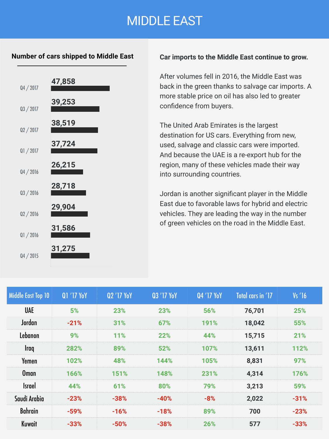## MIDDLE EAST

#### **Number of cars shipped to Middle East**



#### **Car imports to the Middle East continue to grow.**

After volumes fell in 2016, the Middle East was back in the green thanks to salvage car imports. A more stable price on oil has also led to greater confidence from buyers.

The United Arab Emirates is the largest destination for US cars. Everything from new, used, salvage and classic cars were imported. And because the UAE is a re-export hub for the region, many of these vehicles made their way into surrounding countries.

Jordan is another significant player in the Middle East due to favorable laws for hybrid and electric vehicles. They are leading the way in the number of green vehicles on the road in the Middle East.

| <b>Middle East Top 10</b> | 01 '17 YoY | <b>Q2 '17 YoY</b> | <b>Q3 '17 YoY</b> | <b>Q4 '17 YoY</b> | Total cars in '17 | Vs'16  |
|---------------------------|------------|-------------------|-------------------|-------------------|-------------------|--------|
| <b>UAE</b>                | 5%         | 23%               | 23%               | 56%               | 76,701            | 25%    |
| <b>Jordan</b>             | $-21%$     | 31%               | 67%               | 191%              | 18,042            | 55%    |
| Lebanon                   | 9%         | 11%               | 22%               | 44%               | 15,715            | 21%    |
| <b>Iraq</b>               | 282%       | 89%               | 52%               | 107%              | 13,611            | 112%   |
| Yemen                     | 102%       | 48%               | 144%              | 105%              | 8,831             | 97%    |
| <b>Oman</b>               | 166%       | 151%              | 148%              | 231%              | 4,314             | 176%   |
| <b>Israel</b>             | 44%        | 61%               | 80%               | 79%               | 3,213             | 59%    |
| Saudi Arabia              | $-23%$     | $-38%$            | $-40%$            | $-8%$             | 2,022             | $-31%$ |
| <b>Bahrain</b>            | $-59%$     | $-16%$            | $-18%$            | 89%               | 700               | $-23%$ |
| Kuwait                    | $-33%$     | $-50%$            | $-38%$            | 26%               | 577               | $-33%$ |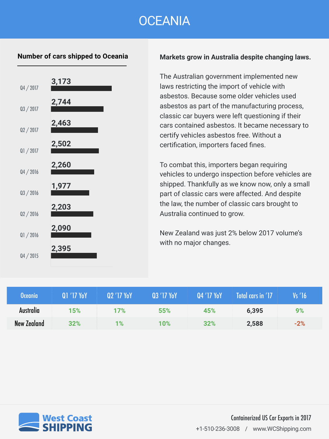## **OCEANIA**

## **Number of cars shipped to Oceania**



#### **Markets grow in Australia despite changing laws.**

The Australian government implemented new laws restricting the import of vehicle with asbestos. Because some older vehicles used asbestos as part of the manufacturing process, classic car buyers were left questioning if their cars contained asbestos. It became necessary to certify vehicles asbestos free. Without a certification, importers faced fines.

To combat this, importers began requiring vehicles to undergo inspection before vehicles are shipped. Thankfully as we know now, only a small part of classic cars were affected. And despite the law, the number of classic cars brought to Australia continued to grow.

New Zealand was just 2% below 2017 volume's with no major changes.

| <b>Oceania</b>     | Q1 '17 YoY | <b>Q2 '17 YoY</b> | <b>Q3 '17 YoY</b> | <b>Q4 '17 YoY</b> | Total cars in '17 | Vs'16 |
|--------------------|------------|-------------------|-------------------|-------------------|-------------------|-------|
| Australia          | 15%        | 17%               | 55%               | 45%               | 6,395             | 9%    |
| <b>New Zealand</b> | 32%        | 1%                | 10%               | 32%               | 2,588             | $-2%$ |